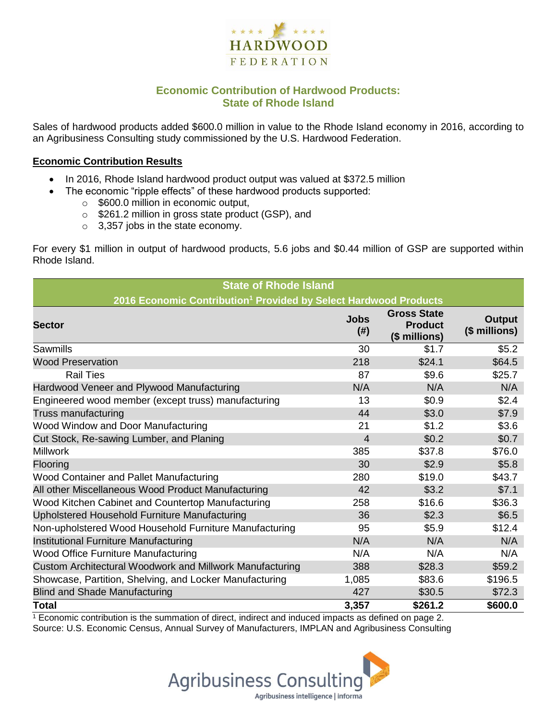

# **Economic Contribution of Hardwood Products: State of Rhode Island**

Sales of hardwood products added \$600.0 million in value to the Rhode Island economy in 2016, according to an Agribusiness Consulting study commissioned by the U.S. Hardwood Federation.

#### **Economic Contribution Results**

- In 2016, Rhode Island hardwood product output was valued at \$372.5 million
	- The economic "ripple effects" of these hardwood products supported:
		- o \$600.0 million in economic output,
		- o \$261.2 million in gross state product (GSP), and
		- o 3,357 jobs in the state economy.

For every \$1 million in output of hardwood products, 5.6 jobs and \$0.44 million of GSP are supported within Rhode Island.

| <b>State of Rhode Island</b>                                                 |                     |                                                       |                         |  |  |  |
|------------------------------------------------------------------------------|---------------------|-------------------------------------------------------|-------------------------|--|--|--|
| 2016 Economic Contribution <sup>1</sup> Provided by Select Hardwood Products |                     |                                                       |                         |  |  |  |
| <b>Sector</b>                                                                | <b>Jobs</b><br>(# ) | <b>Gross State</b><br><b>Product</b><br>(\$ millions) | Output<br>(\$ millions) |  |  |  |
| <b>Sawmills</b>                                                              | 30                  | \$1.7                                                 | \$5.2                   |  |  |  |
| <b>Wood Preservation</b>                                                     | 218                 | \$24.1                                                | \$64.5                  |  |  |  |
| <b>Rail Ties</b>                                                             | 87                  | \$9.6                                                 | \$25.7                  |  |  |  |
| Hardwood Veneer and Plywood Manufacturing                                    | N/A                 | N/A                                                   | N/A                     |  |  |  |
| Engineered wood member (except truss) manufacturing                          | 13                  | \$0.9                                                 | \$2.4                   |  |  |  |
| <b>Truss manufacturing</b>                                                   | 44                  | \$3.0                                                 | \$7.9                   |  |  |  |
| Wood Window and Door Manufacturing                                           | 21                  | \$1.2                                                 | \$3.6                   |  |  |  |
| Cut Stock, Re-sawing Lumber, and Planing                                     | $\overline{4}$      | \$0.2                                                 | \$0.7                   |  |  |  |
| <b>Millwork</b>                                                              | 385                 | \$37.8                                                | \$76.0                  |  |  |  |
| Flooring                                                                     | 30                  | \$2.9                                                 | \$5.8\$                 |  |  |  |
| Wood Container and Pallet Manufacturing                                      | 280                 | \$19.0                                                | \$43.7                  |  |  |  |
| All other Miscellaneous Wood Product Manufacturing                           | 42                  | \$3.2                                                 | \$7.1                   |  |  |  |
| Wood Kitchen Cabinet and Countertop Manufacturing                            | 258                 | \$16.6                                                | \$36.3                  |  |  |  |
| Upholstered Household Furniture Manufacturing                                | 36                  | \$2.3                                                 | \$6.5                   |  |  |  |
| Non-upholstered Wood Household Furniture Manufacturing                       | 95                  | \$5.9                                                 | \$12.4                  |  |  |  |
| Institutional Furniture Manufacturing                                        | N/A                 | N/A                                                   | N/A                     |  |  |  |
| Wood Office Furniture Manufacturing                                          | N/A                 | N/A                                                   | N/A                     |  |  |  |
| Custom Architectural Woodwork and Millwork Manufacturing                     | 388                 | \$28.3                                                | \$59.2                  |  |  |  |
| Showcase, Partition, Shelving, and Locker Manufacturing                      | 1,085               | \$83.6                                                | \$196.5                 |  |  |  |
| <b>Blind and Shade Manufacturing</b>                                         | 427                 | \$30.5                                                | \$72.3                  |  |  |  |
| <b>Total</b>                                                                 | 3.357               | \$261.2                                               | \$600.0                 |  |  |  |

 $1$  Economic contribution is the summation of direct, indirect and induced impacts as defined on page 2. Source: U.S. Economic Census, Annual Survey of Manufacturers, IMPLAN and Agribusiness Consulting